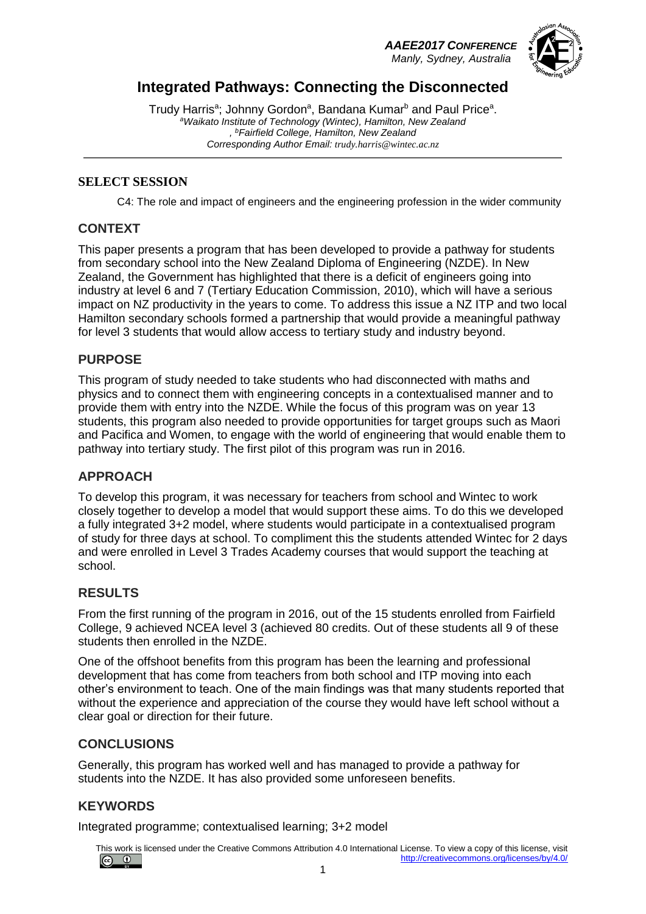## *AAEE2017 CONFERENCE*

 *Manly, Sydney, Australia*



# **Integrated Pathways: Connecting the Disconnected**

Trudy Harris<sup>a</sup>; Johnny Gordon<sup>a</sup>, Bandana Kumar<sup>b</sup> and Paul Price<sup>a</sup>. *<sup>a</sup>Waikato Institute of Technology (Wintec), Hamilton, New Zealand , <sup>b</sup>Fairfield College, Hamilton, New Zealand Corresponding Author Email: trudy.harris@wintec.ac.nz*

#### **SELECT SESSION**

C4: The role and impact of engineers and the engineering profession in the wider community

#### **CONTEXT**

This paper presents a program that has been developed to provide a pathway for students from secondary school into the New Zealand Diploma of Engineering (NZDE). In New Zealand, the Government has highlighted that there is a deficit of engineers going into industry at level 6 and 7 (Tertiary Education Commission, 2010), which will have a serious impact on NZ productivity in the years to come. To address this issue a NZ ITP and two local Hamilton secondary schools formed a partnership that would provide a meaningful pathway for level 3 students that would allow access to tertiary study and industry beyond.

#### **PURPOSE**

This program of study needed to take students who had disconnected with maths and physics and to connect them with engineering concepts in a contextualised manner and to provide them with entry into the NZDE. While the focus of this program was on year 13 students, this program also needed to provide opportunities for target groups such as Maori and Pacifica and Women, to engage with the world of engineering that would enable them to pathway into tertiary study. The first pilot of this program was run in 2016.

#### **APPROACH**

To develop this program, it was necessary for teachers from school and Wintec to work closely together to develop a model that would support these aims. To do this we developed a fully integrated 3+2 model, where students would participate in a contextualised program of study for three days at school. To compliment this the students attended Wintec for 2 days and were enrolled in Level 3 Trades Academy courses that would support the teaching at school.

#### **RESULTS**

From the first running of the program in 2016, out of the 15 students enrolled from Fairfield College, 9 achieved NCEA level 3 (achieved 80 credits. Out of these students all 9 of these students then enrolled in the NZDE.

One of the offshoot benefits from this program has been the learning and professional development that has come from teachers from both school and ITP moving into each other's environment to teach. One of the main findings was that many students reported that without the experience and appreciation of the course they would have left school without a clear goal or direction for their future.

#### **CONCLUSIONS**

Generally, this program has worked well and has managed to provide a pathway for students into the NZDE. It has also provided some unforeseen benefits.

### **KEYWORDS**

Integrated programme; contextualised learning; 3+2 model

This work is licensed under the Creative Commons Attribution 4.0 International License. To view a copy of this license, visit  $\circledcirc$ <http://creativecommons.org/licenses/by/4.0/>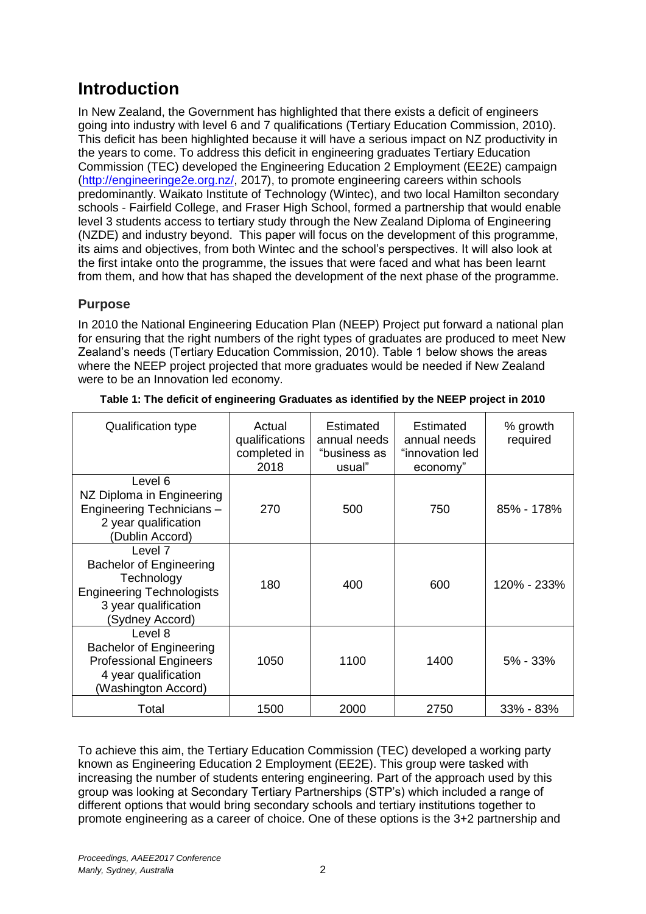# **Introduction**

In New Zealand, the Government has highlighted that there exists a deficit of engineers going into industry with level 6 and 7 qualifications (Tertiary Education Commission, 2010). This deficit has been highlighted because it will have a serious impact on NZ productivity in the years to come. To address this deficit in engineering graduates Tertiary Education Commission (TEC) developed the Engineering Education 2 Employment (EE2E) campaign [\(http://engineeringe2e.org.nz/,](http://engineeringe2e.org.nz/) 2017), to promote engineering careers within schools predominantly. Waikato Institute of Technology (Wintec), and two local Hamilton secondary schools - Fairfield College, and Fraser High School, formed a partnership that would enable level 3 students access to tertiary study through the New Zealand Diploma of Engineering (NZDE) and industry beyond. This paper will focus on the development of this programme, its aims and objectives, from both Wintec and the school's perspectives. It will also look at the first intake onto the programme, the issues that were faced and what has been learnt from them, and how that has shaped the development of the next phase of the programme.

### **Purpose**

In 2010 the National Engineering Education Plan (NEEP) Project put forward a national plan for ensuring that the right numbers of the right types of graduates are produced to meet New Zealand's needs (Tertiary Education Commission, 2010). Table 1 below shows the areas where the NEEP project projected that more graduates would be needed if New Zealand were to be an Innovation led economy.

| Qualification type                                                                                                                     | Actual<br>qualifications<br>completed in<br>2018 | <b>Estimated</b><br>annual needs<br>"business as<br>usual" | Estimated<br>annual needs<br>"innovation led<br>economy" | % growth<br>required |
|----------------------------------------------------------------------------------------------------------------------------------------|--------------------------------------------------|------------------------------------------------------------|----------------------------------------------------------|----------------------|
| Level 6<br>NZ Diploma in Engineering<br>Engineering Technicians -<br>2 year qualification<br>(Dublin Accord)                           | 270                                              | 500                                                        | 750                                                      | $85\% - 178\%$       |
| Level 7<br><b>Bachelor of Engineering</b><br>Technology<br><b>Engineering Technologists</b><br>3 year qualification<br>(Sydney Accord) | 180                                              | 400                                                        | 600                                                      | 120% - 233%          |
| Level 8<br><b>Bachelor of Engineering</b><br><b>Professional Engineers</b><br>4 year qualification<br>(Washington Accord)              | 1050                                             | 1100                                                       | 1400                                                     | $5\% - 33\%$         |
| Total                                                                                                                                  | 1500                                             | 2000                                                       | 2750                                                     | 33% - 83%            |

| Table 1: The deficit of engineering Graduates as identified by the NEEP project in 2010 |  |  |  |
|-----------------------------------------------------------------------------------------|--|--|--|
|                                                                                         |  |  |  |
|                                                                                         |  |  |  |

To achieve this aim, the Tertiary Education Commission (TEC) developed a working party known as Engineering Education 2 Employment (EE2E). This group were tasked with increasing the number of students entering engineering. Part of the approach used by this group was looking at Secondary Tertiary Partnerships (STP's) which included a range of different options that would bring secondary schools and tertiary institutions together to promote engineering as a career of choice. One of these options is the 3+2 partnership and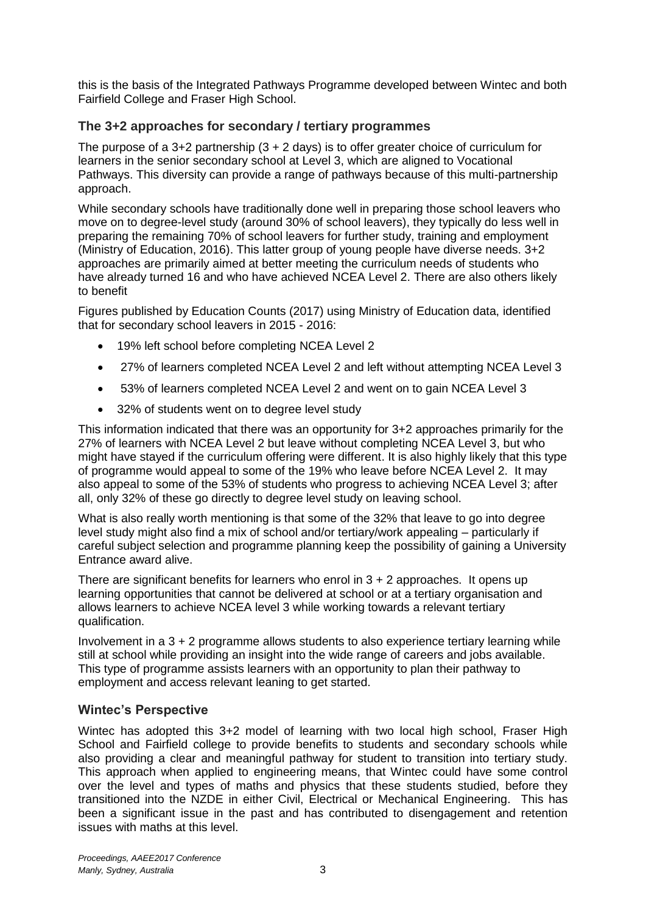this is the basis of the Integrated Pathways Programme developed between Wintec and both Fairfield College and Fraser High School.

### **The 3+2 approaches for secondary / tertiary programmes**

The purpose of a 3+2 partnership  $(3 + 2 \text{ days})$  is to offer greater choice of curriculum for learners in the senior secondary school at Level 3, which are aligned to Vocational Pathways. This diversity can provide a range of pathways because of this multi-partnership approach.

While secondary schools have traditionally done well in preparing those school leavers who move on to degree-level study (around 30% of school leavers), they typically do less well in preparing the remaining 70% of school leavers for further study, training and employment (Ministry of Education, 2016). This latter group of young people have diverse needs. 3+2 approaches are primarily aimed at better meeting the curriculum needs of students who have already turned 16 and who have achieved NCEA Level 2. There are also others likely to benefit

Figures published by Education Counts (2017) using Ministry of Education data, identified that for secondary school leavers in 2015 - 2016:

- 19% left school before completing NCEA Level 2
- 27% of learners completed NCEA Level 2 and left without attempting NCEA Level 3
- 53% of learners completed NCEA Level 2 and went on to gain NCEA Level 3
- 32% of students went on to degree level study

This information indicated that there was an opportunity for 3+2 approaches primarily for the 27% of learners with NCEA Level 2 but leave without completing NCEA Level 3, but who might have stayed if the curriculum offering were different. It is also highly likely that this type of programme would appeal to some of the 19% who leave before NCEA Level 2. It may also appeal to some of the 53% of students who progress to achieving NCEA Level 3; after all, only 32% of these go directly to degree level study on leaving school.

What is also really worth mentioning is that some of the 32% that leave to go into degree level study might also find a mix of school and/or tertiary/work appealing – particularly if careful subject selection and programme planning keep the possibility of gaining a University Entrance award alive.

There are significant benefits for learners who enrol in  $3 + 2$  approaches. It opens up learning opportunities that cannot be delivered at school or at a tertiary organisation and allows learners to achieve NCEA level 3 while working towards a relevant tertiary qualification.

Involvement in a 3 + 2 programme allows students to also experience tertiary learning while still at school while providing an insight into the wide range of careers and jobs available. This type of programme assists learners with an opportunity to plan their pathway to employment and access relevant leaning to get started.

#### **Wintec's Perspective**

Wintec has adopted this 3+2 model of learning with two local high school, Fraser High School and Fairfield college to provide benefits to students and secondary schools while also providing a clear and meaningful pathway for student to transition into tertiary study. This approach when applied to engineering means, that Wintec could have some control over the level and types of maths and physics that these students studied, before they transitioned into the NZDE in either Civil, Electrical or Mechanical Engineering. This has been a significant issue in the past and has contributed to disengagement and retention issues with maths at this level.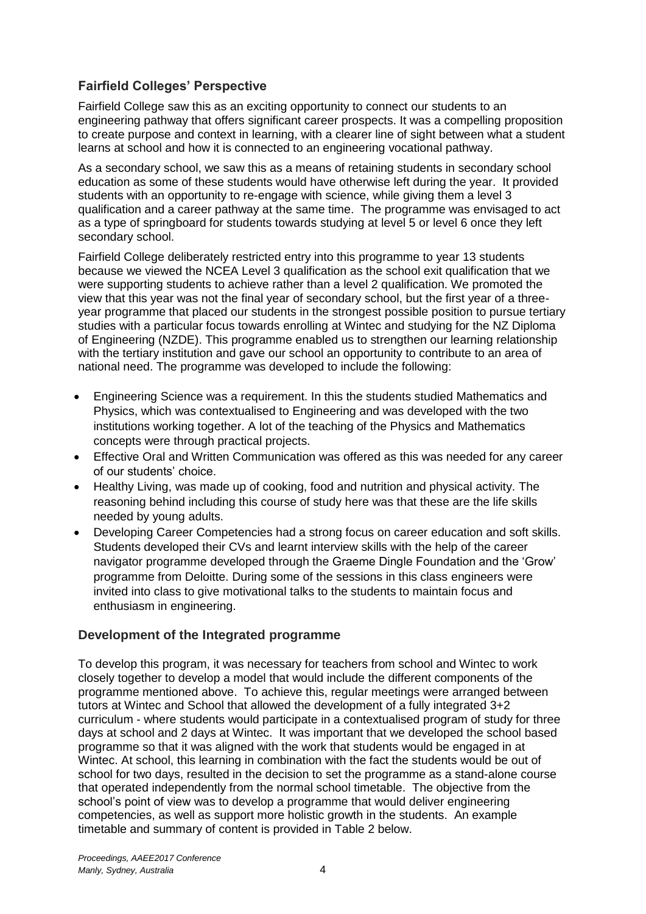### **Fairfield Colleges' Perspective**

Fairfield College saw this as an exciting opportunity to connect our students to an engineering pathway that offers significant career prospects. It was a compelling proposition to create purpose and context in learning, with a clearer line of sight between what a student learns at school and how it is connected to an engineering vocational pathway.

As a secondary school, we saw this as a means of retaining students in secondary school education as some of these students would have otherwise left during the year. It provided students with an opportunity to re-engage with science, while giving them a level 3 qualification and a career pathway at the same time. The programme was envisaged to act as a type of springboard for students towards studying at level 5 or level 6 once they left secondary school.

Fairfield College deliberately restricted entry into this programme to year 13 students because we viewed the NCEA Level 3 qualification as the school exit qualification that we were supporting students to achieve rather than a level 2 qualification. We promoted the view that this year was not the final year of secondary school, but the first year of a threeyear programme that placed our students in the strongest possible position to pursue tertiary studies with a particular focus towards enrolling at Wintec and studying for the NZ Diploma of Engineering (NZDE). This programme enabled us to strengthen our learning relationship with the tertiary institution and gave our school an opportunity to contribute to an area of national need. The programme was developed to include the following:

- Engineering Science was a requirement. In this the students studied Mathematics and Physics, which was contextualised to Engineering and was developed with the two institutions working together. A lot of the teaching of the Physics and Mathematics concepts were through practical projects.
- Effective Oral and Written Communication was offered as this was needed for any career of our students' choice.
- Healthy Living, was made up of cooking, food and nutrition and physical activity. The reasoning behind including this course of study here was that these are the life skills needed by young adults.
- Developing Career Competencies had a strong focus on career education and soft skills. Students developed their CVs and learnt interview skills with the help of the career navigator programme developed through the Graeme Dingle Foundation and the 'Grow' programme from Deloitte. During some of the sessions in this class engineers were invited into class to give motivational talks to the students to maintain focus and enthusiasm in engineering.

### **Development of the Integrated programme**

To develop this program, it was necessary for teachers from school and Wintec to work closely together to develop a model that would include the different components of the programme mentioned above. To achieve this, regular meetings were arranged between tutors at Wintec and School that allowed the development of a fully integrated 3+2 curriculum - where students would participate in a contextualised program of study for three days at school and 2 days at Wintec. It was important that we developed the school based programme so that it was aligned with the work that students would be engaged in at Wintec. At school, this learning in combination with the fact the students would be out of school for two days, resulted in the decision to set the programme as a stand-alone course that operated independently from the normal school timetable. The objective from the school's point of view was to develop a programme that would deliver engineering competencies, as well as support more holistic growth in the students. An example timetable and summary of content is provided in Table 2 below.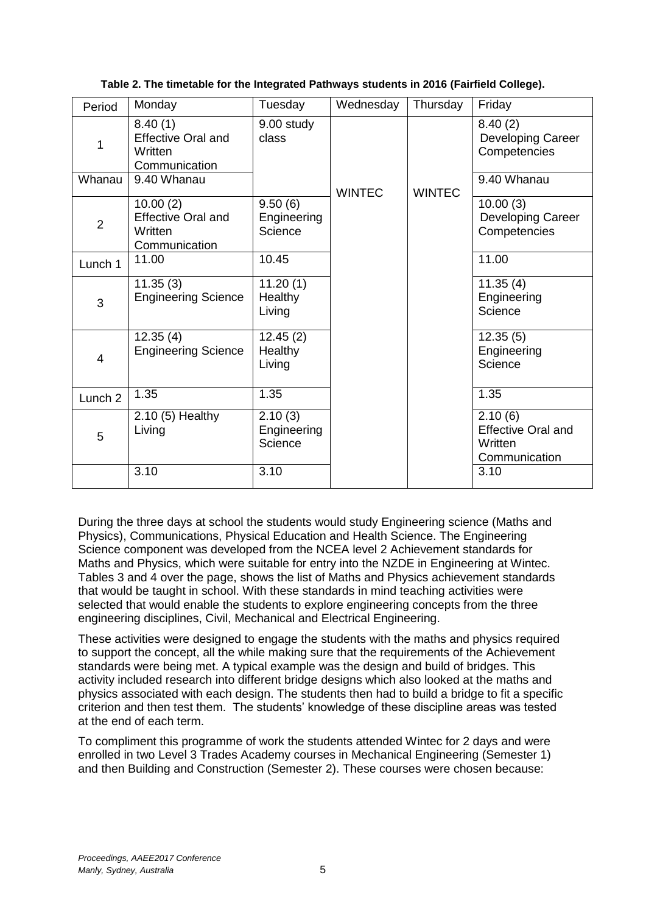| Period         | Monday                                                            | Tuesday                              | Wednesday     | Thursday      | Friday                                                           |
|----------------|-------------------------------------------------------------------|--------------------------------------|---------------|---------------|------------------------------------------------------------------|
| 1              | 8.40(1)<br><b>Effective Oral and</b><br>Written<br>Communication  | 9.00 study<br>class                  |               |               | 8.40(2)<br>Developing Career<br>Competencies                     |
| Whanau         | 9.40 Whanau                                                       |                                      | <b>WINTEC</b> | <b>WINTEC</b> | 9.40 Whanau                                                      |
| $\overline{2}$ | 10.00(2)<br><b>Effective Oral and</b><br>Written<br>Communication | 9.50(6)<br>Engineering<br>Science    |               |               | 10.00(3)<br>Developing Career<br>Competencies                    |
| Lunch 1        | 11.00                                                             | 10.45                                |               |               | 11.00                                                            |
| 3              | 11.35(3)<br><b>Engineering Science</b>                            | 11.20(1)<br><b>Healthy</b><br>Living |               |               | 11.35(4)<br>Engineering<br>Science                               |
| 4              | 12.35(4)<br><b>Engineering Science</b>                            | 12.45(2)<br>Healthy<br>Living        |               |               | 12.35(5)<br>Engineering<br>Science                               |
| Lunch 2        | 1.35                                                              | 1.35                                 |               |               | 1.35                                                             |
| 5              | 2.10 (5) Healthy<br>Living                                        | 2.10(3)<br>Engineering<br>Science    |               |               | 2.10(6)<br><b>Effective Oral and</b><br>Written<br>Communication |
|                | 3.10                                                              | 3.10                                 |               |               | 3.10                                                             |

#### **Table 2. The timetable for the Integrated Pathways students in 2016 (Fairfield College).**

During the three days at school the students would study Engineering science (Maths and Physics), Communications, Physical Education and Health Science. The Engineering Science component was developed from the NCEA level 2 Achievement standards for Maths and Physics, which were suitable for entry into the NZDE in Engineering at Wintec. Tables 3 and 4 over the page, shows the list of Maths and Physics achievement standards that would be taught in school. With these standards in mind teaching activities were selected that would enable the students to explore engineering concepts from the three engineering disciplines, Civil, Mechanical and Electrical Engineering.

These activities were designed to engage the students with the maths and physics required to support the concept, all the while making sure that the requirements of the Achievement standards were being met. A typical example was the design and build of bridges. This activity included research into different bridge designs which also looked at the maths and physics associated with each design. The students then had to build a bridge to fit a specific criterion and then test them. The students' knowledge of these discipline areas was tested at the end of each term.

To compliment this programme of work the students attended Wintec for 2 days and were enrolled in two Level 3 Trades Academy courses in Mechanical Engineering (Semester 1) and then Building and Construction (Semester 2). These courses were chosen because: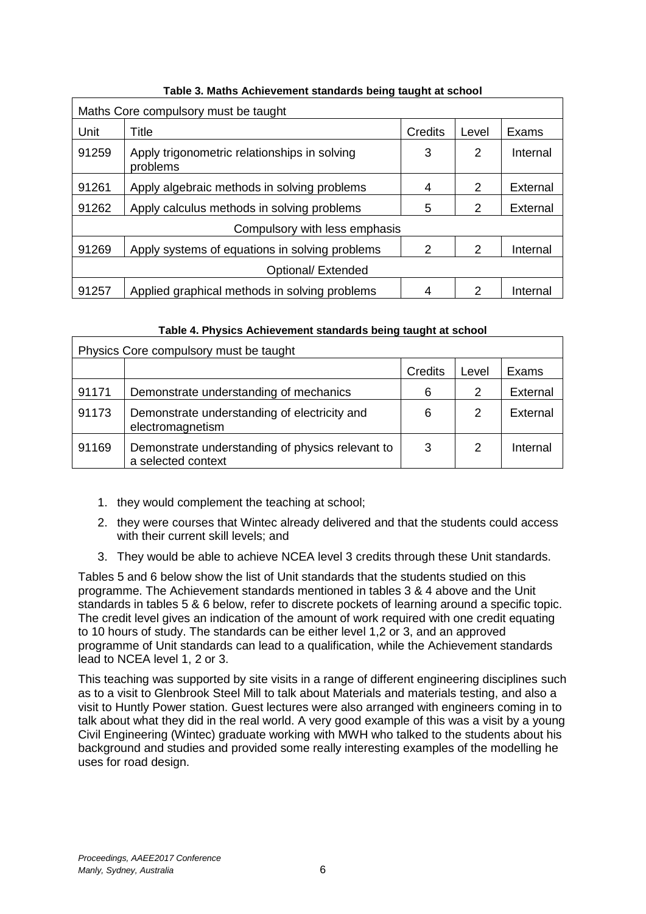| Maths Core compulsory must be taught |                                                          |         |       |          |  |
|--------------------------------------|----------------------------------------------------------|---------|-------|----------|--|
| Unit                                 | Title                                                    | Credits | Level | Exams    |  |
| 91259                                | Apply trigonometric relationships in solving<br>problems | 3       | 2     | Internal |  |
| 91261                                | Apply algebraic methods in solving problems              | 4       | 2     | External |  |
| 91262                                | Apply calculus methods in solving problems               | 5       | 2     | External |  |
|                                      | Compulsory with less emphasis                            |         |       |          |  |
| 91269                                | Apply systems of equations in solving problems           | 2       | 2     | Internal |  |
| Optional/ Extended                   |                                                          |         |       |          |  |
| 91257                                | Applied graphical methods in solving problems            | 4       | 2     | Internal |  |

#### **Table 3. Maths Achievement standards being taught at school**

#### **Table 4. Physics Achievement standards being taught at school**

| Physics Core compulsory must be taught |                                                                        |         |       |          |  |
|----------------------------------------|------------------------------------------------------------------------|---------|-------|----------|--|
|                                        |                                                                        | Credits | Level | Exams    |  |
| 91171                                  | Demonstrate understanding of mechanics                                 | 6       | 2     | External |  |
| 91173                                  | Demonstrate understanding of electricity and<br>electromagnetism       | 6       | 2     | External |  |
| 91169                                  | Demonstrate understanding of physics relevant to<br>a selected context | 3       | 2     | Internal |  |

- 1. they would complement the teaching at school;
- 2. they were courses that Wintec already delivered and that the students could access with their current skill levels; and
- 3. They would be able to achieve NCEA level 3 credits through these Unit standards.

Tables 5 and 6 below show the list of Unit standards that the students studied on this programme. The Achievement standards mentioned in tables 3 & 4 above and the Unit standards in tables 5 & 6 below, refer to discrete pockets of learning around a specific topic. The credit level gives an indication of the amount of work required with one credit equating to 10 hours of study. The standards can be either level 1,2 or 3, and an approved programme of Unit standards can lead to a qualification, while the Achievement standards lead to NCEA level 1, 2 or 3.

This teaching was supported by site visits in a range of different engineering disciplines such as to a visit to Glenbrook Steel Mill to talk about Materials and materials testing, and also a visit to Huntly Power station. Guest lectures were also arranged with engineers coming in to talk about what they did in the real world. A very good example of this was a visit by a young Civil Engineering (Wintec) graduate working with MWH who talked to the students about his background and studies and provided some really interesting examples of the modelling he uses for road design.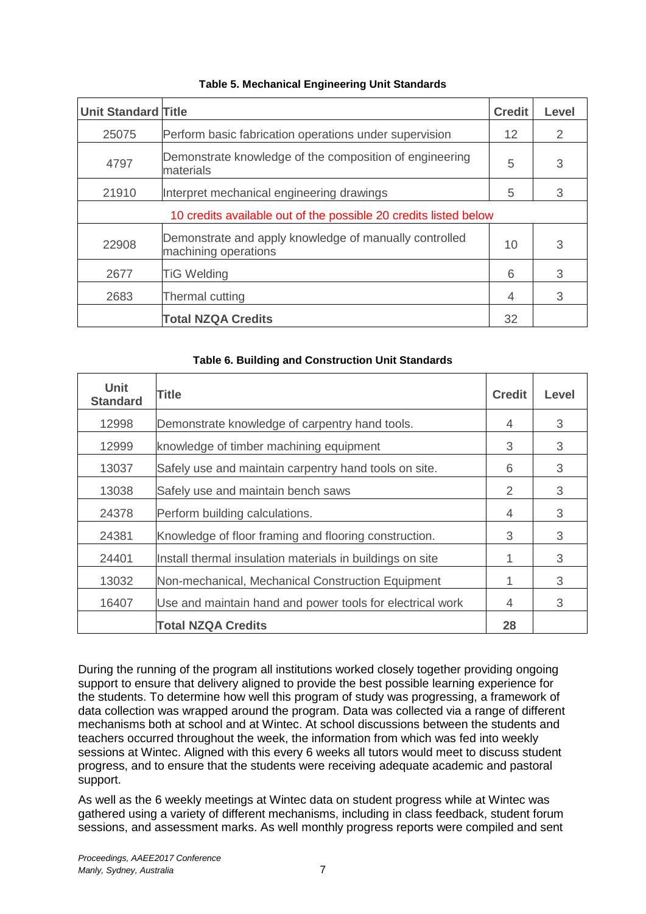| <b>Unit Standard Title</b> |                                                                                | <b>Credit</b>     | <b>Level</b> |
|----------------------------|--------------------------------------------------------------------------------|-------------------|--------------|
| 25075                      | Perform basic fabrication operations under supervision                         | $12 \overline{ }$ | 2            |
| 4797                       | Demonstrate knowledge of the composition of engineering<br>materials           | 5                 | 3            |
| 21910                      | Interpret mechanical engineering drawings                                      | 5                 | 3            |
|                            | 10 credits available out of the possible 20 credits listed below               |                   |              |
| 22908                      | Demonstrate and apply knowledge of manually controlled<br>machining operations | 10                | 3            |
| 2677                       | <b>TiG Welding</b>                                                             | 6                 | 3            |
| 2683                       | Thermal cutting                                                                | 4                 | 3            |
|                            | <b>Total NZQA Credits</b>                                                      | 32                |              |

#### **Table 5. Mechanical Engineering Unit Standards**

| Unit<br><b>Standard</b> | <b>Title</b>                                              | <b>Credit</b> | Level |
|-------------------------|-----------------------------------------------------------|---------------|-------|
| 12998                   | Demonstrate knowledge of carpentry hand tools.            | 4             | 3     |
| 12999                   | knowledge of timber machining equipment                   | 3             | 3     |
| 13037                   | Safely use and maintain carpentry hand tools on site.     | 6             | 3     |
| 13038                   | Safely use and maintain bench saws                        | 2             | 3     |
| 24378                   | Perform building calculations.                            | 4             | 3     |
| 24381                   | Knowledge of floor framing and flooring construction.     | 3             | 3     |
| 24401                   | Install thermal insulation materials in buildings on site |               | 3     |
| 13032                   | Non-mechanical, Mechanical Construction Equipment         |               | 3     |
| 16407                   | Use and maintain hand and power tools for electrical work | 4             | 3     |
|                         | <b>Total NZQA Credits</b>                                 | 28            |       |

During the running of the program all institutions worked closely together providing ongoing support to ensure that delivery aligned to provide the best possible learning experience for the students. To determine how well this program of study was progressing, a framework of data collection was wrapped around the program. Data was collected via a range of different mechanisms both at school and at Wintec. At school discussions between the students and teachers occurred throughout the week, the information from which was fed into weekly sessions at Wintec. Aligned with this every 6 weeks all tutors would meet to discuss student progress, and to ensure that the students were receiving adequate academic and pastoral support.

As well as the 6 weekly meetings at Wintec data on student progress while at Wintec was gathered using a variety of different mechanisms, including in class feedback, student forum sessions, and assessment marks. As well monthly progress reports were compiled and sent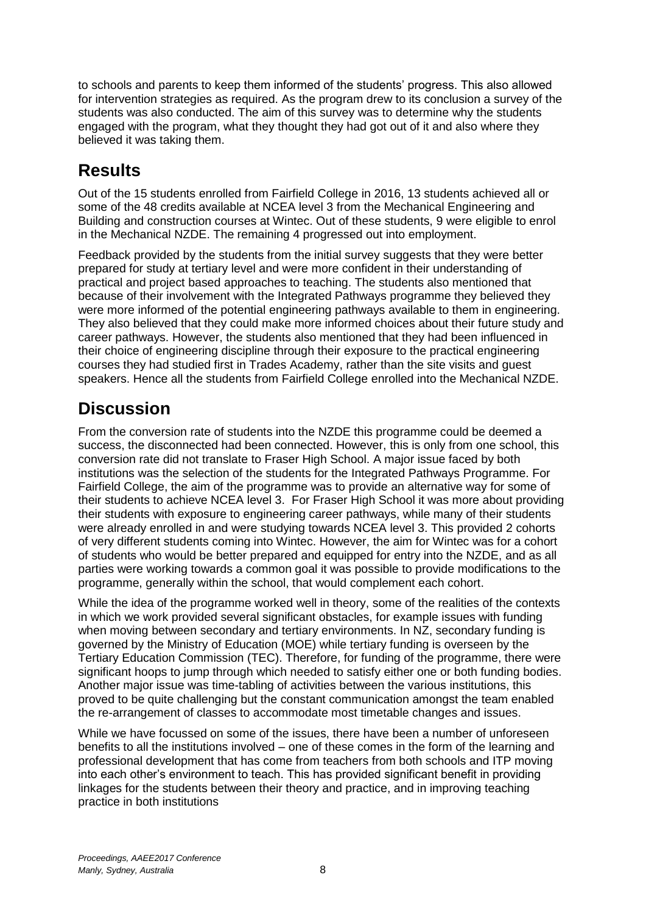to schools and parents to keep them informed of the students' progress. This also allowed for intervention strategies as required. As the program drew to its conclusion a survey of the students was also conducted. The aim of this survey was to determine why the students engaged with the program, what they thought they had got out of it and also where they believed it was taking them.

# **Results**

Out of the 15 students enrolled from Fairfield College in 2016, 13 students achieved all or some of the 48 credits available at NCEA level 3 from the Mechanical Engineering and Building and construction courses at Wintec. Out of these students, 9 were eligible to enrol in the Mechanical NZDE. The remaining 4 progressed out into employment.

Feedback provided by the students from the initial survey suggests that they were better prepared for study at tertiary level and were more confident in their understanding of practical and project based approaches to teaching. The students also mentioned that because of their involvement with the Integrated Pathways programme they believed they were more informed of the potential engineering pathways available to them in engineering. They also believed that they could make more informed choices about their future study and career pathways. However, the students also mentioned that they had been influenced in their choice of engineering discipline through their exposure to the practical engineering courses they had studied first in Trades Academy, rather than the site visits and guest speakers. Hence all the students from Fairfield College enrolled into the Mechanical NZDE.

# **Discussion**

From the conversion rate of students into the NZDE this programme could be deemed a success, the disconnected had been connected. However, this is only from one school, this conversion rate did not translate to Fraser High School. A major issue faced by both institutions was the selection of the students for the Integrated Pathways Programme. For Fairfield College, the aim of the programme was to provide an alternative way for some of their students to achieve NCEA level 3. For Fraser High School it was more about providing their students with exposure to engineering career pathways, while many of their students were already enrolled in and were studying towards NCEA level 3. This provided 2 cohorts of very different students coming into Wintec. However, the aim for Wintec was for a cohort of students who would be better prepared and equipped for entry into the NZDE, and as all parties were working towards a common goal it was possible to provide modifications to the programme, generally within the school, that would complement each cohort.

While the idea of the programme worked well in theory, some of the realities of the contexts in which we work provided several significant obstacles, for example issues with funding when moving between secondary and tertiary environments. In NZ, secondary funding is governed by the Ministry of Education (MOE) while tertiary funding is overseen by the Tertiary Education Commission (TEC). Therefore, for funding of the programme, there were significant hoops to jump through which needed to satisfy either one or both funding bodies. Another major issue was time-tabling of activities between the various institutions, this proved to be quite challenging but the constant communication amongst the team enabled the re-arrangement of classes to accommodate most timetable changes and issues.

While we have focussed on some of the issues, there have been a number of unforeseen benefits to all the institutions involved – one of these comes in the form of the learning and professional development that has come from teachers from both schools and ITP moving into each other's environment to teach. This has provided significant benefit in providing linkages for the students between their theory and practice, and in improving teaching practice in both institutions